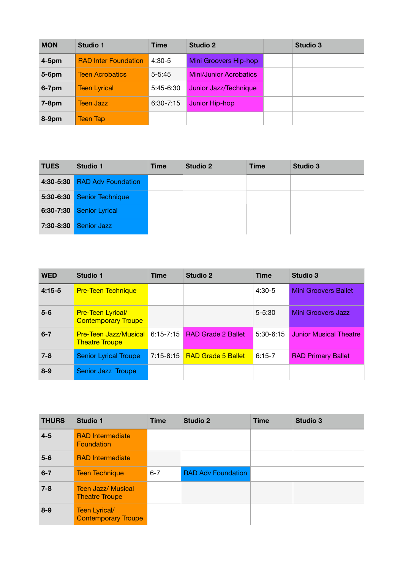| <b>MON</b> | <b>Studio 1</b>             | Time          | <b>Studio 2</b>               | <b>Studio 3</b> |
|------------|-----------------------------|---------------|-------------------------------|-----------------|
| $4-5$ pm   | <b>RAD Inter Foundation</b> | $4:30-5$      | Mini Groovers Hip-hop         |                 |
| 5-6pm      | <b>Teen Acrobatics</b>      | $5 - 5:45$    | <b>Mini/Junior Acrobatics</b> |                 |
| 6-7pm      | <b>Teen Lyrical</b>         | 5:45-6:30     | Junior Jazz/Technique         |                 |
| $7-8pm$    | <b>Teen Jazz</b>            | $6:30 - 7:15$ | Junior Hip-hop                |                 |
| 8-9pm      | <b>Teen Tap</b>             |               |                               |                 |

| <b>TUES</b>   | Studio 1                  | <b>Time</b> | Studio 2 | <b>Time</b> | Studio 3 |
|---------------|---------------------------|-------------|----------|-------------|----------|
| 4:30-5:30     | <b>RAD Adv Foundation</b> |             |          |             |          |
| $5:30 - 6:30$ | <b>Senior Technique</b>   |             |          |             |          |
| $6:30 - 7:30$ | <b>Senior Lyrical</b>     |             |          |             |          |
| 7:30-8:30     | <b>Senior Jazz</b>        |             |          |             |          |
|               |                           |             |          |             |          |

| <b>WED</b> | <b>Studio 1</b>                                          | <b>Time</b>   | <b>Studio 2</b>           | <b>Time</b> | <b>Studio 3</b>               |
|------------|----------------------------------------------------------|---------------|---------------------------|-------------|-------------------------------|
| $4:15-5$   | <b>Pre-Teen Technique</b>                                |               |                           | $4:30-5$    | <b>Mini Groovers Ballet</b>   |
| $5-6$      | <b>Pre-Teen Lyrical/</b><br><b>Contemporary Troupe</b>   |               |                           | $5 - 5:30$  | Mini Groovers Jazz            |
| $6 - 7$    | Pre-Teen Jazz/Musical 6:15-7:15<br><b>Theatre Troupe</b> |               | <b>RAD Grade 2 Ballet</b> | $5:30-6:15$ | <b>Junior Musical Theatre</b> |
| $7 - 8$    | <b>Senior Lyrical Troupe</b>                             | $7:15 - 8:15$ | <b>RAD Grade 5 Ballet</b> | $6:15-7$    | <b>RAD Primary Ballet</b>     |
| $8 - 9$    | Senior Jazz Troupe                                       |               |                           |             |                               |

| <b>THURS</b> | <b>Studio 1</b>                                    | <b>Time</b> | <b>Studio 2</b>           | <b>Time</b> | <b>Studio 3</b> |
|--------------|----------------------------------------------------|-------------|---------------------------|-------------|-----------------|
| $4 - 5$      | <b>RAD</b> Intermediate<br>Foundation              |             |                           |             |                 |
| $5-6$        | <b>RAD</b> Intermediate                            |             |                           |             |                 |
| $6 - 7$      | <b>Teen Technique</b>                              | $6 - 7$     | <b>RAD Adv Foundation</b> |             |                 |
| $7 - 8$      | <b>Teen Jazz/ Musical</b><br><b>Theatre Troupe</b> |             |                           |             |                 |
| $8 - 9$      | Teen Lyrical/<br><b>Contemporary Troupe</b>        |             |                           |             |                 |